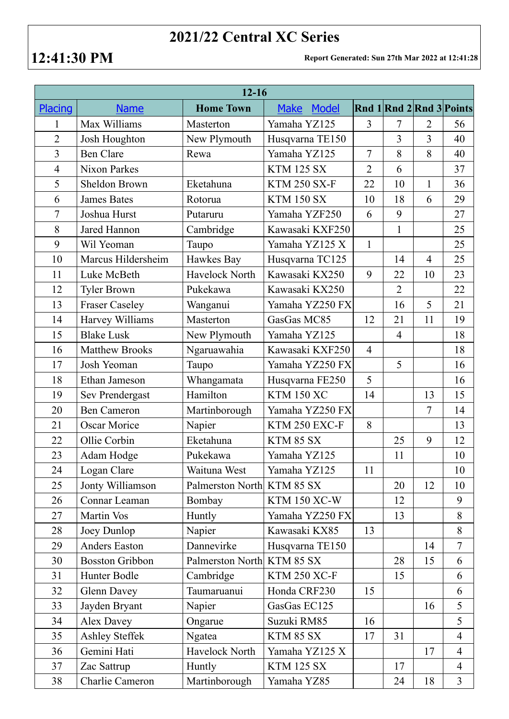## **2021/22 Central XC Series**

**12:41:30 PM Report Generated: Sun 27th Mar 2022 at 12:41:28**

| $12 - 16$      |                        |                            |                     |                |                |                |                          |  |  |  |  |
|----------------|------------------------|----------------------------|---------------------|----------------|----------------|----------------|--------------------------|--|--|--|--|
| <b>Placing</b> | <b>Name</b>            | <b>Home Town</b>           | Model<br>Make       |                |                |                | Rnd 1 Rnd 2 Rnd 3 Points |  |  |  |  |
| 1              | Max Williams           | Masterton                  | Yamaha YZ125        | $\overline{3}$ | $\overline{7}$ | $\overline{2}$ | 56                       |  |  |  |  |
| $\overline{2}$ | Josh Houghton          | New Plymouth               | Husqvarna TE150     |                | $\overline{3}$ | $\overline{3}$ | 40                       |  |  |  |  |
| 3              | <b>Ben Clare</b>       | Rewa                       | Yamaha YZ125        | 7              | 8              | 8              | 40                       |  |  |  |  |
| $\overline{4}$ | <b>Nixon Parkes</b>    |                            | <b>KTM 125 SX</b>   | $\overline{2}$ | 6              |                | 37                       |  |  |  |  |
| 5              | <b>Sheldon Brown</b>   | Eketahuna                  | <b>KTM 250 SX-F</b> | 22             | 10             | $\mathbf{1}$   | 36                       |  |  |  |  |
| 6              | <b>James Bates</b>     | Rotorua                    | <b>KTM 150 SX</b>   | 10             | 18             | 6              | 29                       |  |  |  |  |
| $\overline{7}$ | Joshua Hurst           | Putaruru                   | Yamaha YZF250       | 6              | 9              |                | 27                       |  |  |  |  |
| 8              | Jared Hannon           | Cambridge                  | Kawasaki KXF250     |                | $\mathbf{1}$   |                | 25                       |  |  |  |  |
| 9              | Wil Yeoman             | Taupo                      | Yamaha YZ125 X      | $\mathbf{1}$   |                |                | 25                       |  |  |  |  |
| 10             | Marcus Hildersheim     | Hawkes Bay                 | Husqvarna TC125     |                | 14             | $\overline{4}$ | 25                       |  |  |  |  |
| 11             | Luke McBeth            | Havelock North             | Kawasaki KX250      | 9              | 22             | 10             | 23                       |  |  |  |  |
| 12             | <b>Tyler Brown</b>     | Pukekawa                   | Kawasaki KX250      |                | $\overline{2}$ |                | 22                       |  |  |  |  |
| 13             | <b>Fraser Caseley</b>  | Wanganui                   | Yamaha YZ250 FX     |                | 16             | 5              | 21                       |  |  |  |  |
| 14             | Harvey Williams        | Masterton                  | GasGas MC85         | 12             | 21             | 11             | 19                       |  |  |  |  |
| 15             | <b>Blake Lusk</b>      | New Plymouth               | Yamaha YZ125        |                | $\overline{4}$ |                | 18                       |  |  |  |  |
| 16             | <b>Matthew Brooks</b>  | Ngaruawahia                | Kawasaki KXF250     | $\overline{4}$ |                |                | 18                       |  |  |  |  |
| 17             | Josh Yeoman            | Taupo                      | Yamaha YZ250 FX     |                | 5              |                | 16                       |  |  |  |  |
| 18             | Ethan Jameson          | Whangamata                 | Husqvarna FE250     | 5              |                |                | 16                       |  |  |  |  |
| 19             | Sev Prendergast        | Hamilton                   | <b>KTM 150 XC</b>   | 14             |                | 13             | 15                       |  |  |  |  |
| 20             | <b>Ben Cameron</b>     | Martinborough              | Yamaha YZ250 FX     |                |                | $\overline{7}$ | 14                       |  |  |  |  |
| 21             | <b>Oscar Morice</b>    | Napier                     | KTM 250 EXC-F       | 8              |                |                | 13                       |  |  |  |  |
| 22             | Ollie Corbin           | Eketahuna                  | KTM 85 SX           |                | 25             | 9              | 12                       |  |  |  |  |
| 23             | Adam Hodge             | Pukekawa                   | Yamaha YZ125        |                | 11             |                | 10                       |  |  |  |  |
| 24             | Logan Clare            | Waituna West               | Yamaha YZ125        | 11             |                |                | 10                       |  |  |  |  |
| 25             | Jonty Williamson       | Palmerston North KTM 85 SX |                     |                | 20             | 12             | 10                       |  |  |  |  |
| 26             | Connar Leaman          | Bombay                     | <b>KTM 150 XC-W</b> |                | 12             |                | 9                        |  |  |  |  |
| 27             | Martin Vos             | Huntly                     | Yamaha YZ250 FX     |                | 13             |                | 8                        |  |  |  |  |
| 28             | Joey Dunlop            | Napier                     | Kawasaki KX85       | 13             |                |                | 8                        |  |  |  |  |
| 29             | Anders Easton          | Dannevirke                 | Husqvarna TE150     |                |                | 14             | $\overline{7}$           |  |  |  |  |
| 30             | <b>Bosston Gribbon</b> | Palmerston North KTM 85 SX |                     |                | 28             | 15             | 6                        |  |  |  |  |
| 31             | Hunter Bodle           | Cambridge                  | <b>KTM 250 XC-F</b> |                | 15             |                | 6                        |  |  |  |  |
| 32             | <b>Glenn Davey</b>     | Taumaruanui                | Honda CRF230        | 15             |                |                | 6                        |  |  |  |  |
| 33             | Jayden Bryant          | Napier                     | GasGas EC125        |                |                | 16             | 5                        |  |  |  |  |
| 34             | Alex Davey             | Ongarue                    | Suzuki RM85         | 16             |                |                | 5                        |  |  |  |  |
| 35             | <b>Ashley Steffek</b>  | Ngatea                     | KTM 85 SX           | 17             | 31             |                | $\overline{4}$           |  |  |  |  |
| 36             | Gemini Hati            | Havelock North             | Yamaha YZ125 X      |                |                | 17             | $\overline{4}$           |  |  |  |  |
| 37             | Zac Sattrup            | Huntly                     | <b>KTM 125 SX</b>   |                | 17             |                | $\overline{4}$           |  |  |  |  |
| 38             | Charlie Cameron        | Martinborough              | Yamaha YZ85         |                | 24             | 18             | $\overline{3}$           |  |  |  |  |